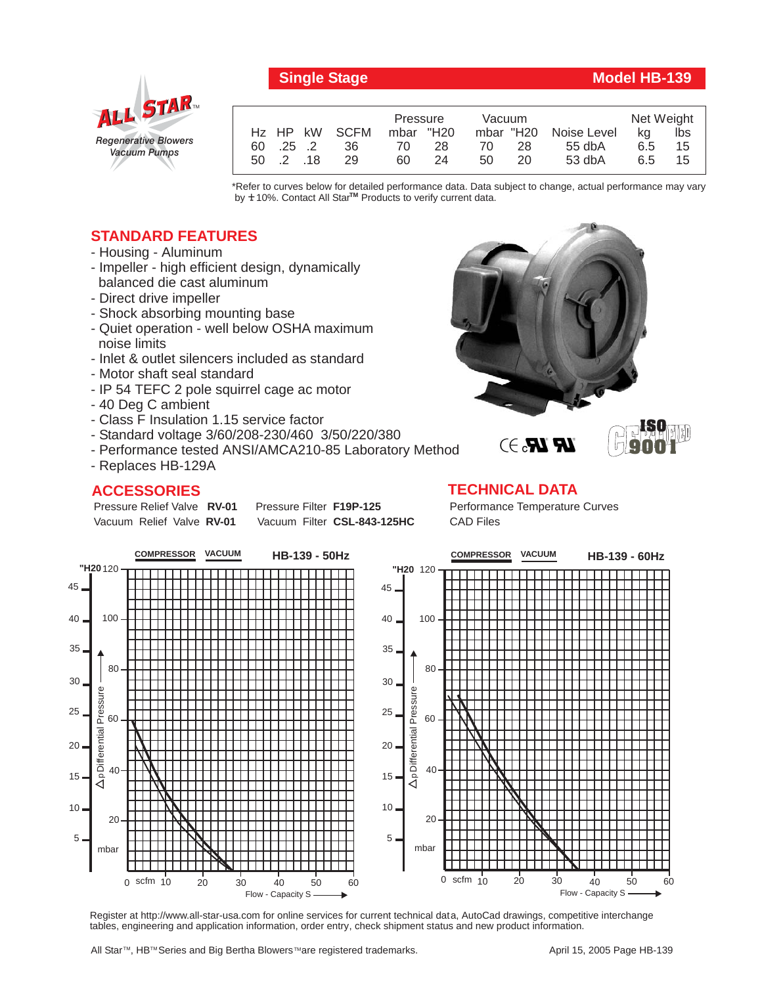



|                     | Pressure  | Vacuum    |                       | Net Weight |     |
|---------------------|-----------|-----------|-----------------------|------------|-----|
| Hz HP kW SCFM       | mbar "H20 |           | mbar "H20 Noise Level | ka         | lbs |
| 60 .25 .2<br>36     | 28<br>70  | -28<br>70 | $55$ db $A$           | 6.5        | 15  |
| $50 \t2 \t18$<br>29 | 60<br>24  | 50<br>20  | $53$ db $A$           | 6.5        | 15  |

\*Refer to curves below for detailed performance data. Data subject to change, actual performance may vary by  $\pm$  10%. Contact All Star<sup>TM</sup> Products to verify current data.

## **STANDARD FEATURES**

- Housing Aluminum
- Impeller high efficient design, dynamically balanced die cast aluminum
- Direct drive impeller
- Shock absorbing mounting base
- Quiet operation well below OSHA maximum noise limits
- Inlet & outlet silencers included as standard
- Motor shaft seal standard
- IP 54 TEFC 2 pole squirrel cage ac motor
- 40 Deg C ambient
- Class F Insulation 1.15 service factor
- Standard voltage 3/60/208-230/460 3/50/220/380
- Performance tested ANSI/AMCA210-85 Laboratory Method
- Replaces HB-129A

## **ACCESSORIES**

Pressure Relief Valve RV-01 Vacuum Relief Valve RV-01

**Pressure Filter F19P-125** Vacuum Filter CSL-843-125HC





Performance Temperature Curves CAD Files



Register at http://www.all-star-usa.com for online services for current technical data, AutoCad drawings, competitive interchange tables, engineering and application information, order entry, check shipment status and new product information.

All Star™, HB™ Series and Big Bertha Blowers™are registered trademarks.